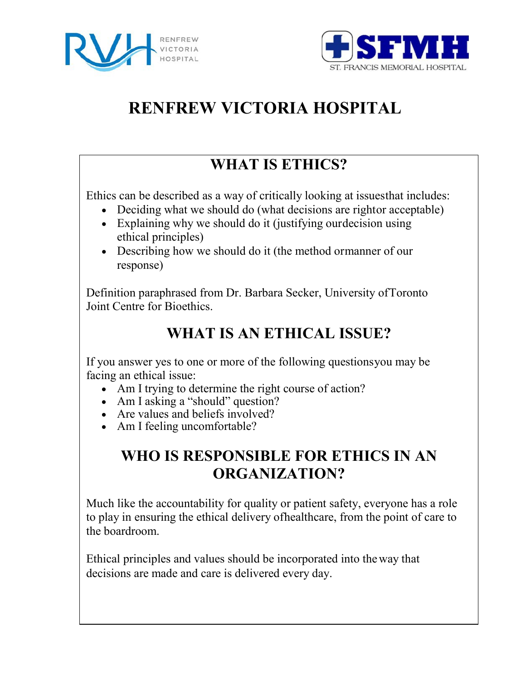



# **RENFREW VICTORIA HOSPITAL**

### **WHAT IS ETHICS?**

Ethics can be described as a way of critically looking at issuesthat includes:

- Deciding what we should do (what decisions are rightor acceptable)
- Explaining why we should do it (justifying ourdecision using ethical principles)
- Describing how we should do it (the method ormanner of our response)

Definition paraphrased from Dr. Barbara Secker, University ofToronto Joint Centre for Bioethics.

## **WHAT IS AN ETHICAL ISSUE?**

If you answer yes to one or more of the following questionsyou may be facing an ethical issue:

- Am I trying to determine the right course of action?
- Am I asking a "should" question?
- Are values and beliefs involved?
- Am I feeling uncomfortable?

### **WHO IS RESPONSIBLE FOR ETHICS IN AN ORGANIZATION?**

Much like the accountability for quality or patient safety, everyone has a role to play in ensuring the ethical delivery ofhealthcare, from the point of care to the boardroom.

Ethical principles and values should be incorporated into the way that decisions are made and care is delivered every day.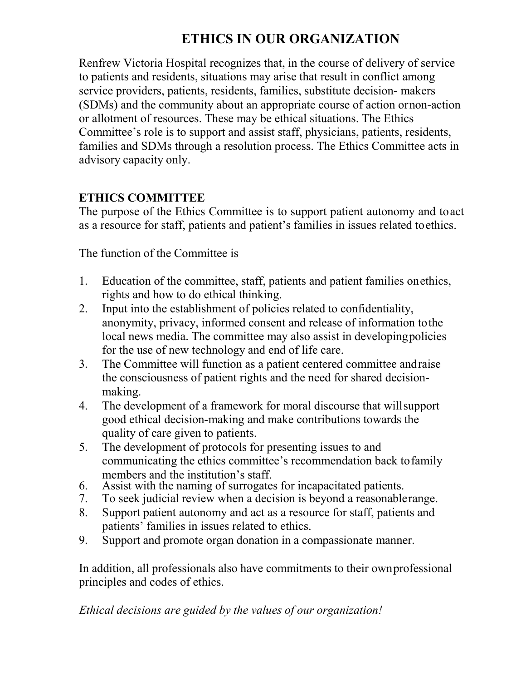### **ETHICS IN OUR ORGANIZATION**

Renfrew Victoria Hospital recognizes that, in the course of delivery of service to patients and residents, situations may arise that result in conflict among service providers, patients, residents, families, substitute decision- makers (SDMs) and the community about an appropriate course of action ornon-action or allotment of resources. These may be ethical situations. The Ethics Committee's role is to support and assist staff, physicians, patients, residents, families and SDMs through a resolution process. The Ethics Committee acts in advisory capacity only.

#### **ETHICS COMMITTEE**

The purpose of the Ethics Committee is to support patient autonomy and toact as a resource for staff, patients and patient's families in issues related toethics.

The function of the Committee is

- 1. Education of the committee, staff, patients and patient families onethics, rights and how to do ethical thinking.
- 2. Input into the establishment of policies related to confidentiality, anonymity, privacy, informed consent and release of information tothe local news media. The committee may also assist in developingpolicies for the use of new technology and end of life care.
- 3. The Committee will function as a patient centered committee andraise the consciousness of patient rights and the need for shared decisionmaking.
- 4. The development of a framework for moral discourse that willsupport good ethical decision-making and make contributions towards the quality of care given to patients.
- 5. The development of protocols for presenting issues to and communicating the ethics committee's recommendation back tofamily members and the institution's staff.
- 6. Assist with the naming of surrogates for incapacitated patients.
- 7. To seek judicial review when a decision is beyond a reasonablerange.
- 8. Support patient autonomy and act as a resource for staff, patients and patients' families in issues related to ethics.
- 9. Support and promote organ donation in a compassionate manner.

In addition, all professionals also have commitments to their ownprofessional principles and codes of ethics.

*Ethical decisions are guided by the values of our organization!*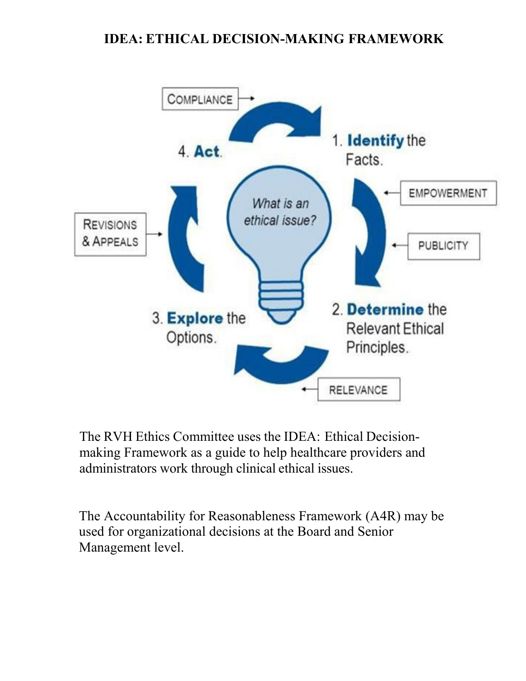### **IDEA: ETHICAL DECISION-MAKING FRAMEWORK**



The RVH Ethics Committee uses the IDEA: Ethical Decisionmaking Framework as a guide to help healthcare providers and administrators work through clinical ethical issues.

The Accountability for Reasonableness Framework (A4R) may be used for organizational decisions at the Board and Senior Management level.